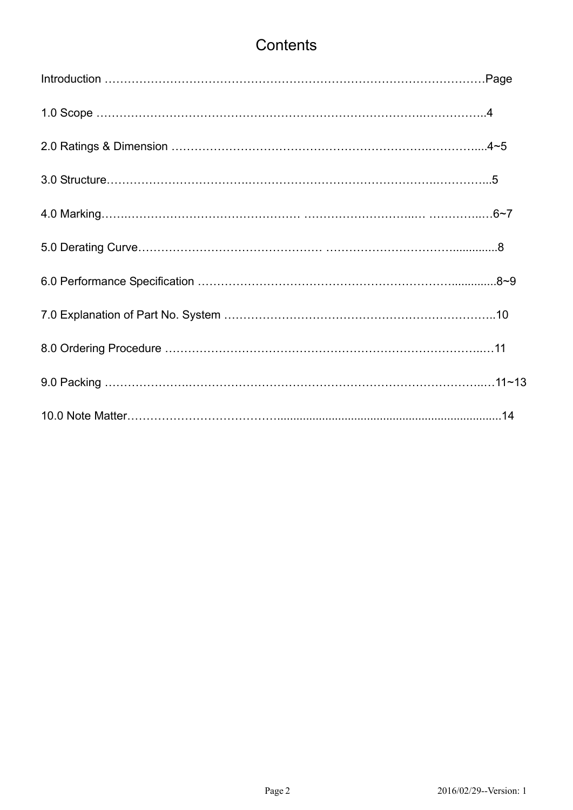# **Contents**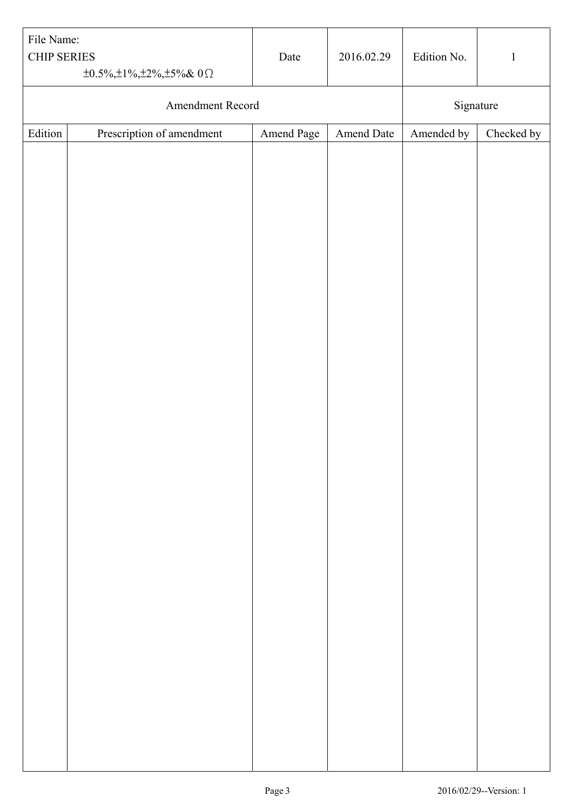| File Name:<br><b>CHIP SERIES</b> | $\pm 0.5\%$ , $\pm 1\%$ , $\pm 2\%$ , $\pm 5\%$ & 0 $\Omega$ | Date       | 2016.02.29 | Edition No. | $\mathbf{1}$ |
|----------------------------------|--------------------------------------------------------------|------------|------------|-------------|--------------|
|                                  | Amendment Record                                             |            |            | Signature   |              |
| Edition                          | Prescription of amendment                                    | Amend Page | Amend Date | Amended by  | Checked by   |
|                                  |                                                              |            |            |             |              |
|                                  |                                                              |            |            |             |              |
|                                  |                                                              |            |            |             |              |
|                                  |                                                              |            |            |             |              |
|                                  |                                                              |            |            |             |              |
|                                  |                                                              |            |            |             |              |
|                                  |                                                              |            |            |             |              |
|                                  |                                                              |            |            |             |              |
|                                  |                                                              |            |            |             |              |
|                                  |                                                              |            |            |             |              |
|                                  |                                                              |            |            |             |              |
|                                  |                                                              |            |            |             |              |
|                                  |                                                              |            |            |             |              |
|                                  |                                                              |            |            |             |              |
|                                  |                                                              |            |            |             |              |
|                                  |                                                              |            |            |             |              |
|                                  |                                                              |            |            |             |              |
|                                  |                                                              |            |            |             |              |
|                                  |                                                              |            |            |             |              |
|                                  |                                                              |            |            |             |              |
|                                  |                                                              |            |            |             |              |
|                                  |                                                              |            |            |             |              |
|                                  |                                                              |            |            |             |              |
|                                  |                                                              |            |            |             |              |
|                                  |                                                              |            |            |             |              |
|                                  |                                                              |            |            |             |              |
|                                  |                                                              |            |            |             |              |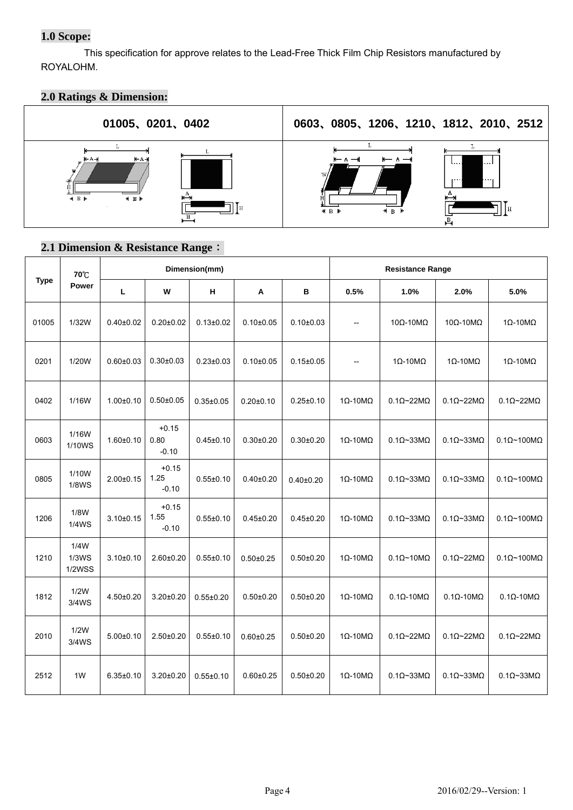## **1.0 Scope:**

This specification for approve relates to the Lead-Free Thick Film Chip Resistors manufactured by ROYALOHM.

## **2.0 Ratings & Dimension:**



### **2.1 Dimension & Resistance Range**:

|             | 70°C                           |                 |                            | Dimension(mm)   |                 |                 |                              | <b>Resistance Range</b>       |                               |                                |  |  |
|-------------|--------------------------------|-----------------|----------------------------|-----------------|-----------------|-----------------|------------------------------|-------------------------------|-------------------------------|--------------------------------|--|--|
| <b>Type</b> | Power                          | L               | w                          | н               | Α               | В               | 0.5%                         | 1.0%                          | 2.0%                          | 5.0%                           |  |  |
| 01005       | 1/32W                          | $0.40{\pm}0.02$ | $0.20 + 0.02$              | $0.13 \pm 0.02$ | $0.10+0.05$     | $0.10 \pm 0.03$ | $\overline{\phantom{a}}$     | $10\Omega - 10\text{M}\Omega$ | $10\Omega - 10\text{M}\Omega$ | $1\Omega - 10M\Omega$          |  |  |
| 0201        | 1/20W                          | $0.60 + 0.03$   | $0.30 + 0.03$              | $0.23 \pm 0.03$ | $0.10+0.05$     | $0.15 \pm 0.05$ | $\overline{\phantom{a}}$     | $1\Omega - 10\text{M}\Omega$  | $1\Omega - 10M\Omega$         | $1\Omega - 10M\Omega$          |  |  |
| 0402        | 1/16W                          | $1.00 + 0.10$   | $0.50 \pm 0.05$            | $0.35 \pm 0.05$ | $0.20 \pm 0.10$ | $0.25 \pm 0.10$ | $1\Omega - 10M\Omega$        | $0.1\Omega$ ~22M $\Omega$     | $0.1\Omega$ ~22M $\Omega$     | $0.1\Omega$ ~22M $\Omega$      |  |  |
| 0603        | 1/16W<br>1/10WS                | $1.60 + 0.10$   | $+0.15$<br>0.80<br>$-0.10$ | $0.45 \pm 0.10$ | $0.30 + 0.20$   | $0.30 \pm 0.20$ | $1\Omega - 10M\Omega$        | $0.1\Omega$ ~33M $\Omega$     | $0.1\Omega$ ~33M $\Omega$     | $0.1\Omega$ ~100M $\Omega$     |  |  |
| 0805        | 1/10W<br><b>1/8WS</b>          | $2.00+0.15$     | $+0.15$<br>1.25<br>$-0.10$ | $0.55 \pm 0.10$ | $0.40 + 0.20$   | $0.40{\pm}0.20$ | $1\Omega - 10M\Omega$        | $0.1 \Omega - 33 M \Omega$    | $0.1\Omega$ ~33M $\Omega$     | $0.1\Omega$ ~100M $\Omega$     |  |  |
| 1206        | 1/8W<br><b>1/4WS</b>           | $3.10 + 0.15$   | $+0.15$<br>1.55<br>$-0.10$ | $0.55 \pm 0.10$ | $0.45 \pm 0.20$ | $0.45 \pm 0.20$ | $1\Omega - 10M\Omega$        | $0.1\Omega$ ~33M $\Omega$     | $0.1\Omega$ ~33M $\Omega$     | $0.1 \Omega \sim 100 M \Omega$ |  |  |
| 1210        | 1/4W<br>1/3WS<br><b>1/2WSS</b> | $3.10+0.10$     | $2.60 + 0.20$              | $0.55 \pm 0.10$ | $0.50 \pm 0.25$ | $0.50 \pm 0.20$ | $1\Omega - 10\text{M}\Omega$ | $0.1\Omega$ ~10M $\Omega$     | $0.1\Omega$ ~22M $\Omega$     | $0.1\Omega$ ~100M $\Omega$     |  |  |
| 1812        | 1/2W<br>3/4WS                  | $4.50+0.20$     | $3.20 \pm 0.20$            | $0.55 \pm 0.20$ | $0.50 + 0.20$   | $0.50 \pm 0.20$ | $1\Omega - 10M\Omega$        | $0.1\Omega - 10M\Omega$       | $0.1\Omega - 10M\Omega$       | $0.1\Omega - 10M\Omega$        |  |  |
| 2010        | 1/2W<br>3/4WS                  | $5.00 \pm 0.10$ | $2.50 \pm 0.20$            | $0.55 \pm 0.10$ | $0.60 \pm 0.25$ | $0.50 \pm 0.20$ | $1\Omega - 10M\Omega$        | $0.1\Omega$ ~22M $\Omega$     | $0.1\Omega$ ~22M $\Omega$     | $0.1\Omega$ ~22M $\Omega$      |  |  |
| 2512        | 1W                             | $6.35 \pm 0.10$ | $3.20 \pm 0.20$            | $0.55 \pm 0.10$ | $0.60 \pm 0.25$ | $0.50 + 0.20$   | $1\Omega - 10\text{M}\Omega$ | $0.1\Omega$ ~33M $\Omega$     | $0.1\Omega$ ~33M $\Omega$     | $0.1\Omega$ ~33M $\Omega$      |  |  |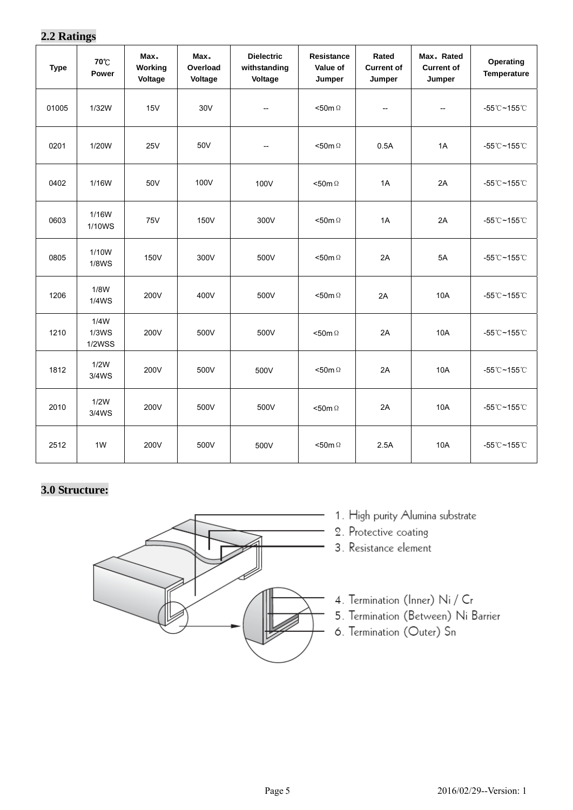## **2.2 Ratings**

| <b>Type</b> | 70℃<br>Power                   | Max.<br>Working<br>Voltage | Max.<br>Overload<br>Voltage | <b>Dielectric</b><br>withstanding<br>Voltage | Resistance<br>Value of<br>Jumper | Rated<br><b>Current of</b><br>Jumper                | Max. Rated<br><b>Current of</b><br>Jumper | Operating<br><b>Temperature</b>    |
|-------------|--------------------------------|----------------------------|-----------------------------|----------------------------------------------|----------------------------------|-----------------------------------------------------|-------------------------------------------|------------------------------------|
| 01005       | 1/32W                          | 15V                        | 30V                         | $\hspace{0.05cm} -\hspace{0.05cm}$           | $<$ 50m $\Omega$                 | $\hspace{0.05cm} -\hspace{0.05cm} -\hspace{0.05cm}$ | --                                        | $-55^{\circ}$ C $-155^{\circ}$ C   |
| 0201        | 1/20W                          | <b>25V</b>                 | 50V                         | $\hspace{0.05cm} -\hspace{0.05cm}$           | $<$ 50m $\Omega$                 | 0.5A                                                | 1A                                        | -55°C~155°C                        |
| 0402        | 1/16W                          | 50V                        | 100V                        | 100V                                         | $<$ 50m $\Omega$                 | 1A                                                  | 2A                                        | -55°C~155°C                        |
| 0603        | 1/16W<br>1/10WS                | <b>75V</b>                 | 150V                        | 300V                                         | <50m $\Omega$                    | 1A                                                  | 2A                                        | -55℃~155℃                          |
| 0805        | 1/10W<br><b>1/8WS</b>          | 150V                       | 300V                        | 500V                                         | $<$ 50m $\Omega$                 | 2A                                                  | 5A                                        | -55℃~155℃                          |
| 1206        | 1/8W<br>1/4WS                  | 200V                       | 400V                        | 500V                                         | $<$ 50m $\Omega$                 | 2A                                                  | <b>10A</b>                                | -55°C~155°C                        |
| 1210        | 1/4W<br>1/3WS<br><b>1/2WSS</b> | 200V                       | 500V                        | 500V                                         | $<$ 50m $\Omega$                 | 2A                                                  | <b>10A</b>                                | -55°C~155°C                        |
| 1812        | 1/2W<br>3/4WS                  | 200V                       | 500V                        | 500V                                         | <50m $\Omega$                    | 2A                                                  | 10A                                       | $-55^{\circ}$ C~155 $^{\circ}$ C   |
| 2010        | 1/2W<br>3/4WS                  | 200V                       | 500V                        | 500V                                         | $< 50m \Omega$                   | 2A                                                  | <b>10A</b>                                | $-55^{\circ}$ C ~ 155 $^{\circ}$ C |
| 2512        | 1 <sub>W</sub>                 | 200V                       | 500V                        | 500V                                         | $<$ 50m $\Omega$                 | 2.5A                                                | 10A                                       | -55°C~155°C                        |

# **3.0 Structure:**



- 1. High purity Alumina substrate
- 2. Protective coating
- 3. Resistance element
- 4. Termination (Inner) Ni / Cr
- 5. Termination (Between) Ni Barrier
- 6. Termination (Outer) Sn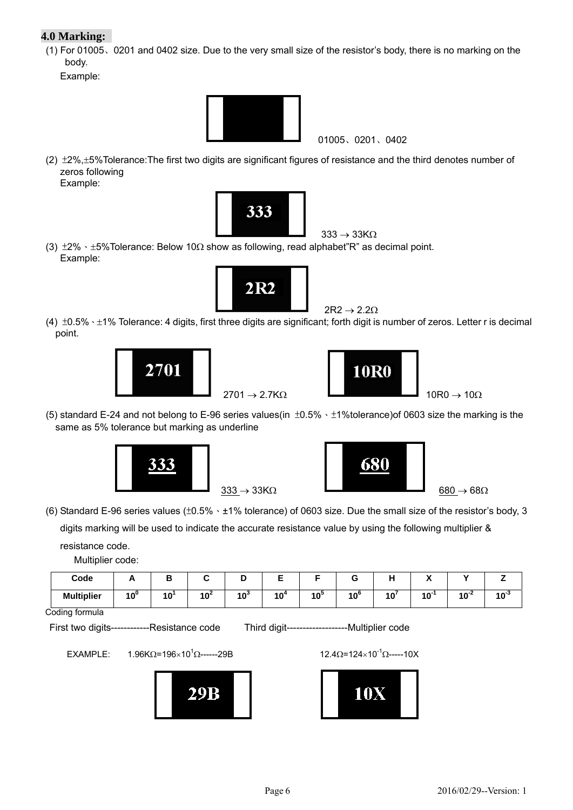### **4.0 Marking:**

(1) For 01005、0201 and 0402 size. Due to the very small size of the resistor's body, there is no marking on the body.

Example:



01005、0201、0402

(2)  $\pm$ 2%, $\pm$ 5%Tolerance:The first two digits are significant figures of resistance and the third denotes number of zeros following Example:



(3)  $\pm 2\% \cdot \pm 5\%$  Tolerance: Below 10 $\Omega$  show as following, read alphabet"R" as decimal point. Example:



 $2R2 \rightarrow 2.2\Omega$ 

(4)  $\pm 0.5\% \cdot \pm 1\%$  Tolerance: 4 digits, first three digits are significant; forth digit is number of zeros. Letter r is decimal point.





(5) standard E-24 and not belong to E-96 series values(in ±0.5%、±1%tolerance)of 0603 size the marking is the same as 5% tolerance but marking as underline





 (6) Standard E-96 series values (±0.5%、±1% tolerance) of 0603 size. Due the small size of the resistor's body, 3 digits marking will be used to indicate the accurate resistance value by using the following multiplier & resistance code.

Multiplier code:

| Code              |        |                 |                                          |        |        |              |              | . .<br>$ -$ | $\ddot{\phantom{1}}$<br>. . |        |           |
|-------------------|--------|-----------------|------------------------------------------|--------|--------|--------------|--------------|-------------|-----------------------------|--------|-----------|
| <b>Multiplier</b> | $10^0$ | $\overline{AB}$ | $\overline{\phantom{a}}$<br>4 A 4<br>้าเ | $10^3$ | $10^4$ | 4 A J<br>. v | $10^{\circ}$ | $\sqrt{2}$  | <b>AO</b><br>ιu             | $40-2$ | ניי<br>יי |

Coding formula

First two digits------------Resistance code Third digit-------------------Multiplier code

EXAMPLE:  $1.96$ KΩ=196×10<sup>1</sup>Ω------29B



 $12.4\Omega = 124 \times 10^{-1} \Omega$ -----10X

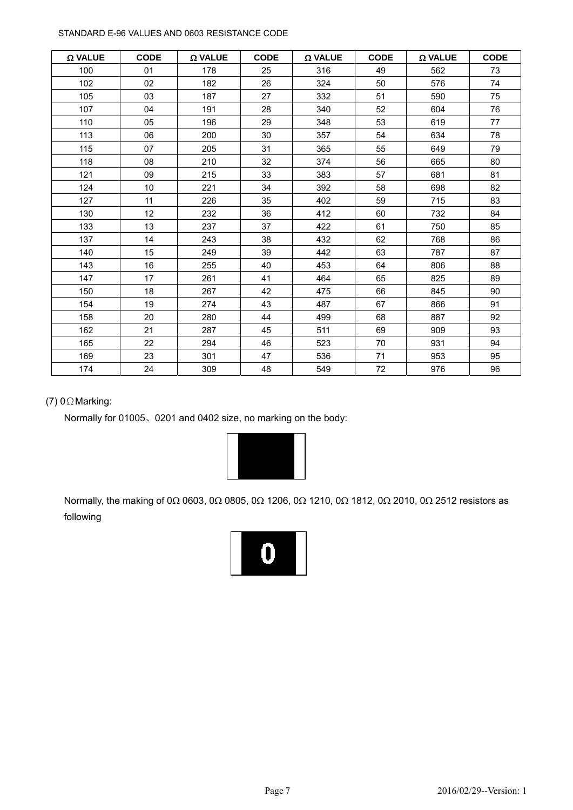#### STANDARD E-96 VALUES AND 0603 RESISTANCE CODE

| $\Omega$ VALUE | <b>CODE</b>     | $\Omega$ VALUE | <b>CODE</b> | $\Omega$ VALUE | <b>CODE</b> | $\Omega$ VALUE | <b>CODE</b> |
|----------------|-----------------|----------------|-------------|----------------|-------------|----------------|-------------|
| 100            | 01              | 178            | 25          | 316            | 49          | 562            | 73          |
| 102            | 02              | 182            | 26          | 324            | 50          | 576            | 74          |
| 105            | 03              | 187            | 27          | 332            | 51          | 590            | 75          |
| 107            | 04              | 191            | 28          | 340            | 52          | 604            | 76          |
| 110            | 05              | 196            | 29          | 348            | 53          | 619            | 77          |
| 113            | 06              | 200            | 30          | 357            | 54          | 634            | 78          |
| 115            | 07              | 205            | 31          | 365            | 55          | 649            | 79          |
| 118            | 08              | 210            | 32          | 374            | 56          | 665            | 80          |
| 121            | 09              | 215            | 33          | 383            | 57          | 681            | 81          |
| 124            | 10 <sup>1</sup> | 221            | 34          | 392            | 58          | 698            | 82          |
| 127            | 11              | 226            | 35          | 402            | 59          | 715            | 83          |
| 130            | 12 <sup>°</sup> | 232            | 36          | 412            | 60          | 732            | 84          |
| 133            | 13              | 237            | 37          | 422            | 61          | 750            | 85          |
| 137            | 14              | 243            | 38          | 432            | 62          | 768            | 86          |
| 140            | 15              | 249            | 39          | 442            | 63          | 787            | 87          |
| 143            | 16              | 255            | 40          | 453            | 64          | 806            | 88          |
| 147            | 17              | 261            | 41          | 464            | 65          | 825            | 89          |
| 150            | 18              | 267            | 42          | 475            | 66          | 845            | 90          |
| 154            | 19              | 274            | 43          | 487            | 67          | 866            | 91          |
| 158            | 20              | 280            | 44          | 499            | 68          | 887            | 92          |
| 162            | 21              | 287            | 45          | 511            | 69          | 909            | 93          |
| 165            | 22              | 294            | 46          | 523            | 70          | 931            | 94          |
| 169            | 23              | 301            | 47          | 536            | 71          | 953            | 95          |
| 174            | 24              | 309            | 48          | 549            | 72          | 976            | 96          |

#### (7) 0ΩMarking:

Normally for 01005、0201 and 0402 size, no marking on the body:



Normally, the making of 0 $\Omega$  0603, 0 $\Omega$  0805, 0 $\Omega$  1206, 0 $\Omega$  1210, 0 $\Omega$  1812, 0 $\Omega$  2010, 0 $\Omega$  2512 resistors as following

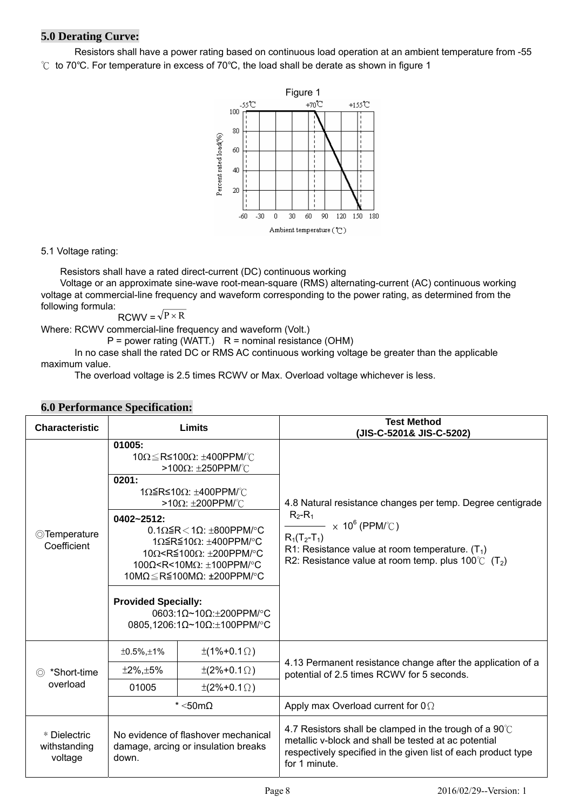### **5.0 Derating Curve:**

Resistors shall have a power rating based on continuous load operation at an ambient temperature from -55 ℃ to 70℃. For temperature in excess of 70℃, the load shall be derate as shown in figure 1



5.1 Voltage rating:

Resistors shall have a rated direct-current (DC) continuous working

Voltage or an approximate sine-wave root-mean-square (RMS) alternating-current (AC) continuous working voltage at commercial-line frequency and waveform corresponding to the power rating, as determined from the following formula:

$$
RCWV = \sqrt{P \times R}
$$

Where: RCWV commercial-line frequency and waveform (Volt.)

 $P = power$  rating (WATT.)  $R = normal$  resistance (OHM)

In no case shall the rated DC or RMS AC continuous working voltage be greater than the applicable maximum value.

The overload voltage is 2.5 times RCWV or Max. Overload voltage whichever is less.

| <b>Characteristic</b>                   |                                                             | <b>Limits</b>                                                                                                                                                                                                                                                                                                                                                                                                                                | <b>Test Method</b><br>(JIS-C-5201& JIS-C-5202)                                                                                                                                                                                                                     |  |  |  |
|-----------------------------------------|-------------------------------------------------------------|----------------------------------------------------------------------------------------------------------------------------------------------------------------------------------------------------------------------------------------------------------------------------------------------------------------------------------------------------------------------------------------------------------------------------------------------|--------------------------------------------------------------------------------------------------------------------------------------------------------------------------------------------------------------------------------------------------------------------|--|--|--|
| ◎Temperature<br>Coefficient             | 01005:<br>0201:<br>0402~2512:<br><b>Provided Specially:</b> | $10\Omega \leq$ R≤100Ω: ±400PPM/°C<br>>100Ω: $\pm$ 250PPM/°C<br>1Ω ≤ R ≤ 10Ω: ±400PPM/°C<br>>10Ω: $±200$ PPM/°C<br>$0.1\Omega \le R < 1\Omega$ : ±800PPM/°C<br>$1Ω ≤ R ≤ 10Ω$ : ±400PPM/°C<br>10Ω <r≦100ω: <math="">\pm200PPM/°C<br/>100Ω<r<10mω: <math="">±100PPM/°C<br/>10M<math>\Omega \leq R \leq 100</math>M<math>\Omega</math>: ±200PPM/°C<br/>0603:1Ω~10Ω:<math>±</math>200PPM/°C<br/>0805,1206:1Ω~10Ω:±100PPM/°C</r<10mω:></r≦100ω:> | 4.8 Natural resistance changes per temp. Degree centigrade<br>$R_2-R_1$<br>$\longrightarrow$ $\times$ 10 $^6$ (PPM/ $^{\circ}$ C )<br>$R_1(T_2-T_1)$<br>R1: Resistance value at room temperature. $(T_1)$<br>R2: Resistance value at room temp. plus 100°C $(T_2)$ |  |  |  |
|                                         | $±0.5\%$ , $±1\%$                                           | $\pm(1\% + 0.1\Omega)$                                                                                                                                                                                                                                                                                                                                                                                                                       |                                                                                                                                                                                                                                                                    |  |  |  |
| *Short-time<br>$\circledcirc$           | $±2\%, ±5\%$                                                | $\pm(2\%+0.1\Omega)$                                                                                                                                                                                                                                                                                                                                                                                                                         | 4.13 Permanent resistance change after the application of a<br>potential of 2.5 times RCWV for 5 seconds.                                                                                                                                                          |  |  |  |
| overload                                | 01005                                                       | $\pm (2\% + 0.1 \Omega)$                                                                                                                                                                                                                                                                                                                                                                                                                     |                                                                                                                                                                                                                                                                    |  |  |  |
|                                         |                                                             | $^*$ <50m $\Omega$                                                                                                                                                                                                                                                                                                                                                                                                                           | Apply max Overload current for $0\Omega$                                                                                                                                                                                                                           |  |  |  |
| * Dielectric<br>withstanding<br>voltage | down.                                                       | No evidence of flashover mechanical<br>damage, arcing or insulation breaks                                                                                                                                                                                                                                                                                                                                                                   | 4.7 Resistors shall be clamped in the trough of a $90^{\circ}$ C<br>metallic v-block and shall be tested at ac potential<br>respectively specified in the given list of each product type<br>for 1 minute.                                                         |  |  |  |

#### **6.0 Performance Specification:**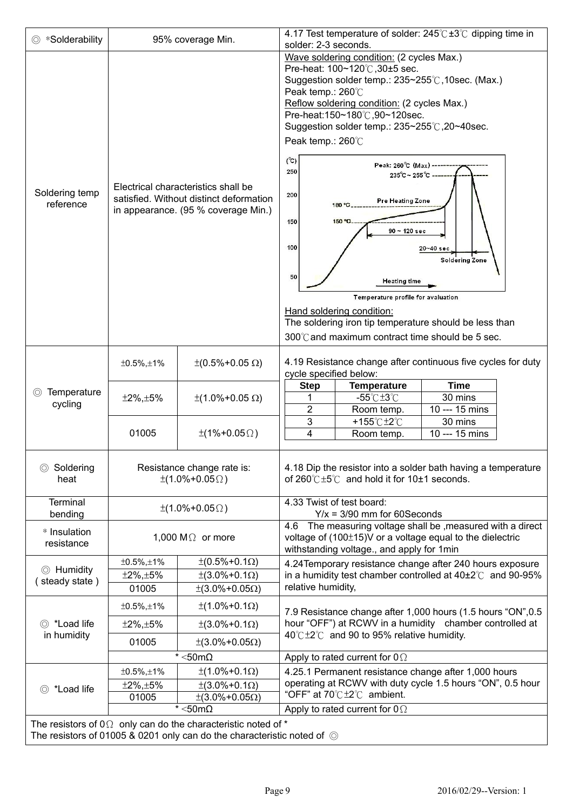| *Solderability                                           |                                          | 95% coverage Min.                                                                                                                                              | solder: 2-3 seconds.                                                                                                                                                                                                                                                                                       | 4.17 Test temperature of solder: $245^{\circ}$ C + 3 <sup>°</sup> C dipping time in                                                                               |                           |  |  |
|----------------------------------------------------------|------------------------------------------|----------------------------------------------------------------------------------------------------------------------------------------------------------------|------------------------------------------------------------------------------------------------------------------------------------------------------------------------------------------------------------------------------------------------------------------------------------------------------------|-------------------------------------------------------------------------------------------------------------------------------------------------------------------|---------------------------|--|--|
|                                                          |                                          |                                                                                                                                                                |                                                                                                                                                                                                                                                                                                            | Wave soldering condition: (2 cycles Max.)                                                                                                                         |                           |  |  |
|                                                          |                                          |                                                                                                                                                                | Pre-heat: 100~120℃,30±5 sec.<br>Suggestion solder temp.: 235∼255℃,10sec. (Max.)<br>Peak temp.: 260°C<br>Reflow soldering condition: (2 cycles Max.)<br>Pre-heat:150~180℃,90~120sec.<br>Suggestion solder temp.: 235~255°C, 20~40sec.<br>Peak temp.: 260°C<br>$(^{\circ}\mathrm{C})$<br>Peak: 260°C (Max) - |                                                                                                                                                                   |                           |  |  |
| Soldering temp                                           |                                          | Electrical characteristics shall be                                                                                                                            | 250<br>200                                                                                                                                                                                                                                                                                                 | $235^{\circ}$ C ~ 255 $^{\circ}$ C -                                                                                                                              |                           |  |  |
| reference                                                |                                          | satisfied. Without distinct deformation<br>in appearance. (95 % coverage Min.)                                                                                 |                                                                                                                                                                                                                                                                                                            | Pre Heating Zone<br>180 °C                                                                                                                                        |                           |  |  |
|                                                          |                                          |                                                                                                                                                                | 150<br>150 °C.<br>$90 - 120$ sec                                                                                                                                                                                                                                                                           |                                                                                                                                                                   |                           |  |  |
|                                                          |                                          |                                                                                                                                                                | 100                                                                                                                                                                                                                                                                                                        |                                                                                                                                                                   | 20~40 sec                 |  |  |
|                                                          |                                          |                                                                                                                                                                | 50                                                                                                                                                                                                                                                                                                         |                                                                                                                                                                   | <b>Soldering Zone</b>     |  |  |
|                                                          |                                          |                                                                                                                                                                |                                                                                                                                                                                                                                                                                                            | <b>Heating time</b><br>Temperature profile for avaluation                                                                                                         |                           |  |  |
|                                                          |                                          |                                                                                                                                                                |                                                                                                                                                                                                                                                                                                            | Hand soldering condition:                                                                                                                                         |                           |  |  |
|                                                          |                                          |                                                                                                                                                                |                                                                                                                                                                                                                                                                                                            | The soldering iron tip temperature should be less than                                                                                                            |                           |  |  |
|                                                          |                                          |                                                                                                                                                                | 300℃ and maximum contract time should be 5 sec.                                                                                                                                                                                                                                                            |                                                                                                                                                                   |                           |  |  |
|                                                          | $±0.5\%$ , $±1\%$                        | $\pm (0.5\% + 0.05 \Omega)$                                                                                                                                    | cycle specified below:                                                                                                                                                                                                                                                                                     | 4.19 Resistance change after continuous five cycles for duty                                                                                                      |                           |  |  |
| Temperature                                              | $±2\%, ±5\%$                             |                                                                                                                                                                | <b>Step</b>                                                                                                                                                                                                                                                                                                | <b>Temperature</b>                                                                                                                                                | <b>Time</b>               |  |  |
| cycling                                                  |                                          | $±$ (1.0%+0.05 Ω)                                                                                                                                              | $\overline{2}$                                                                                                                                                                                                                                                                                             | $-55^{\circ}$ C $\pm 3^{\circ}$ C<br>Room temp.                                                                                                                   | 30 mins<br>10 --- 15 mins |  |  |
|                                                          |                                          |                                                                                                                                                                | 3                                                                                                                                                                                                                                                                                                          | +155℃±2℃                                                                                                                                                          | 30 mins                   |  |  |
|                                                          | 01005                                    | $\pm(1\% + 0.05\Omega)$                                                                                                                                        | $\overline{4}$                                                                                                                                                                                                                                                                                             | Room temp.                                                                                                                                                        | 10 --- 15 mins            |  |  |
| ◎ Soldering<br>heat                                      |                                          | Resistance change rate is:<br>$\pm(1.0\% + 0.05\Omega)$                                                                                                        |                                                                                                                                                                                                                                                                                                            | 4.18 Dip the resistor into a solder bath having a temperature<br>of $260^{\circ}$ C $\pm 5^{\circ}$ and hold it for 10 $\pm$ 1 seconds.                           |                           |  |  |
| Terminal<br>bending                                      |                                          | $\pm(1.0\% + 0.05\Omega)$                                                                                                                                      |                                                                                                                                                                                                                                                                                                            | 4.33 Twist of test board:<br>$Y/x = 3/90$ mm for 60Seconds                                                                                                        |                           |  |  |
| * Insulation<br>resistance                               |                                          | 1,000 M $\Omega$ or more                                                                                                                                       | 4.6                                                                                                                                                                                                                                                                                                        | The measuring voltage shall be , measured with a direct<br>voltage of (100±15)V or a voltage equal to the dielectric<br>withstanding voltage., and apply for 1min |                           |  |  |
|                                                          | $±0.5\%$ , $±1\%$                        | $\pm (0.5\% + 0.1\Omega)$                                                                                                                                      |                                                                                                                                                                                                                                                                                                            | 4.24 Temporary resistance change after 240 hours exposure                                                                                                         |                           |  |  |
| ◎ Humidity<br>steady state)                              | $±2\%, ±5\%$                             | $\pm(3.0\% + 0.1\Omega)$                                                                                                                                       |                                                                                                                                                                                                                                                                                                            | in a humidity test chamber controlled at $40\pm2^{\circ}$ and 90-95%                                                                                              |                           |  |  |
|                                                          | 01005                                    | $±$ (3.0%+0.05Ω)                                                                                                                                               | relative humidity,                                                                                                                                                                                                                                                                                         |                                                                                                                                                                   |                           |  |  |
|                                                          | $±0.5\%, ±1\%$                           | $±(1.0% + 0.1Ω)$                                                                                                                                               |                                                                                                                                                                                                                                                                                                            | 7.9 Resistance change after 1,000 hours (1.5 hours "ON", 0.5                                                                                                      |                           |  |  |
| ◎ *Load life                                             | $±2\%, ±5\%$                             | $±$ (3.0%+0.1Ω)                                                                                                                                                |                                                                                                                                                                                                                                                                                                            | hour "OFF") at RCWV in a humidity chamber controlled at<br>$40^{\circ}$ C $\pm$ 2 $^{\circ}$ C and 90 to 95% relative humidity.                                   |                           |  |  |
|                                                          | in humidity<br>01005<br>$±$ (3.0%+0.05Ω) |                                                                                                                                                                |                                                                                                                                                                                                                                                                                                            |                                                                                                                                                                   |                           |  |  |
|                                                          | $^*$ <50m $\Omega$                       |                                                                                                                                                                |                                                                                                                                                                                                                                                                                                            | Apply to rated current for $0\Omega$                                                                                                                              |                           |  |  |
|                                                          | $±0.5\%$ , $±1\%$                        | $±(1.0% + 0.1Ω)$                                                                                                                                               | 4.25.1 Permanent resistance change after 1,000 hours                                                                                                                                                                                                                                                       |                                                                                                                                                                   |                           |  |  |
| $±2\%, ±5\%$<br>$\pm(3.0\% + 0.1\Omega)$<br>◎ *Load life |                                          |                                                                                                                                                                |                                                                                                                                                                                                                                                                                                            | operating at RCWV with duty cycle 1.5 hours "ON", 0.5 hour                                                                                                        |                           |  |  |
| $±$ (3.0%+0.05Ω)<br>01005                                |                                          |                                                                                                                                                                |                                                                                                                                                                                                                                                                                                            | "OFF" at $70^{\circ}$ C $\pm 2^{\circ}$ C ambient.                                                                                                                |                           |  |  |
|                                                          |                                          | $^*$ <50m $\Omega$                                                                                                                                             | Apply to rated current for $0 \Omega$                                                                                                                                                                                                                                                                      |                                                                                                                                                                   |                           |  |  |
|                                                          |                                          | The resistors of $0\Omega$ only can do the characteristic noted of $*$<br>The resistors of 01005 & 0201 only can do the characteristic noted of $\circledcirc$ |                                                                                                                                                                                                                                                                                                            |                                                                                                                                                                   |                           |  |  |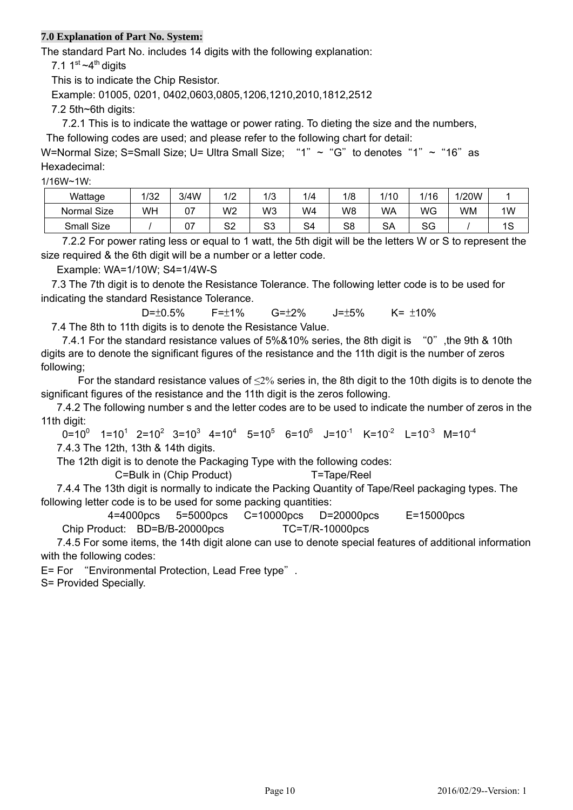#### **7.0 Explanation of Part No. System:**

The standard Part No. includes 14 digits with the following explanation:

7.1  $1<sup>st</sup>$  ~4<sup>th</sup> digits

This is to indicate the Chip Resistor.

Example: 01005, 0201, 0402,0603,0805,1206,1210,2010,1812,2512

7.2 5th~6th digits:

7.2.1 This is to indicate the wattage or power rating. To dieting the size and the numbers,

The following codes are used; and please refer to the following chart for detail:

W=Normal Size; S=Small Size; U= Ultra Small Size; "1" ~ "G" to denotes "1" ~ "16" as Hexadecimal:

1/16W~1W:

| Wattage     | 1/32 | 3/4W | 10 <sup>c</sup><br>. <u>.</u> | 1/3      | 1/4 | 1/8 | /10 | 1/16     | 1/20W |           |
|-------------|------|------|-------------------------------|----------|-----|-----|-----|----------|-------|-----------|
| Normal Size | WH   | 07   | W2                            | W3       | W4  | W8  | WA  | WG       | WM    | 1W        |
| Small Size  |      | 07   | S <sub>2</sub>                | ດາ<br>აა | S4  | S8  | SА  | ∩∩<br>১৬ |       | ה ו<br>טו |

7.2.2 For power rating less or equal to 1 watt, the 5th digit will be the letters W or S to represent the size required & the 6th digit will be a number or a letter code.

Example: WA=1/10W; S4=1/4W-S

7.3 The 7th digit is to denote the Resistance Tolerance. The following letter code is to be used for indicating the standard Resistance Tolerance.

D= $\pm 0.5\%$  F= $\pm 1\%$  G= $\pm 2\%$  J= $\pm 5\%$  K= $\pm 10\%$ 7.4 The 8th to 11th digits is to denote the Resistance Value.

7.4.1 For the standard resistance values of 5%&10% series, the 8th digit is "0", the 9th & 10th digits are to denote the significant figures of the resistance and the 11th digit is the number of zeros following;

For the standard resistance values of  $\leq$ 2% series in, the 8th digit to the 10th digits is to denote the significant figures of the resistance and the 11th digit is the zeros following.

7.4.2 The following number s and the letter codes are to be used to indicate the number of zeros in the 11th digit:

 $0=10^{0}$  1=10<sup>1</sup> 2=10<sup>2</sup> 3=10<sup>3</sup> 4=10<sup>4</sup> 5=10<sup>5</sup> 6=10<sup>6</sup> J=10<sup>-1</sup> K=10<sup>-2</sup> L=10<sup>-3</sup> M=10<sup>-4</sup>

7.4.3 The 12th, 13th & 14th digits.

The 12th digit is to denote the Packaging Type with the following codes:

C=Bulk in (Chip Product) T=Tape/Reel

7.4.4 The 13th digit is normally to indicate the Packing Quantity of Tape/Reel packaging types. The following letter code is to be used for some packing quantities:

4=4000pcs 5=5000pcs C=10000pcs D=20000pcs E=15000pcs Chip Product: BD=B/B-20000pcs TC=T/R-10000pcs

 7.4.5 For some items, the 14th digit alone can use to denote special features of additional information with the following codes:

E= For "Environmental Protection, Lead Free type".

S= Provided Specially.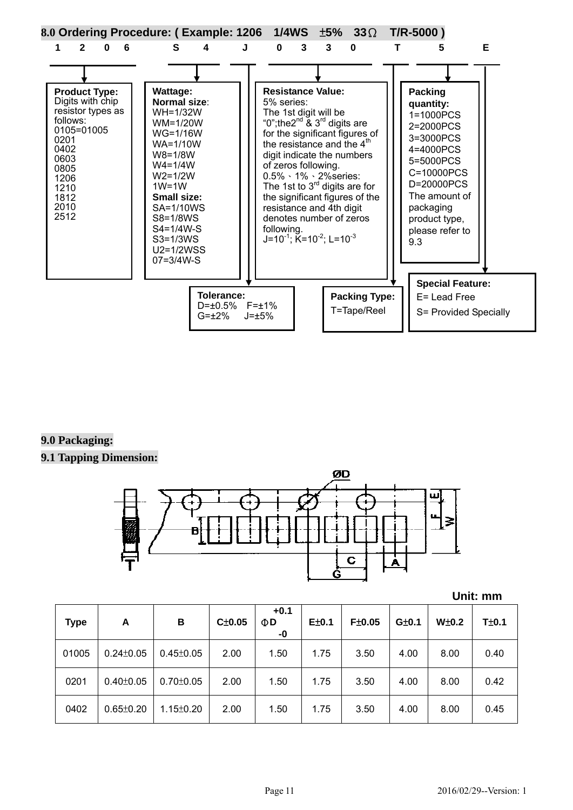

#### **9.0 Packaging:**

#### **9.1 Tapping Dimension:**



|  | Unit: mm |
|--|----------|
|  |          |

| <b>Type</b> | A               | В               | $C\pm0.05$ | $+0.1$<br>ΦD<br>-0 | E±0.1 | F±0.05 | G±0.1 | $W\pm0.2$ | T±0.1 |
|-------------|-----------------|-----------------|------------|--------------------|-------|--------|-------|-----------|-------|
| 01005       | $0.24 \pm 0.05$ | $0.45 \pm 0.05$ | 2.00       | 1.50               | 1.75  | 3.50   | 4.00  | 8.00      | 0.40  |
| 0201        | $0.40 \pm 0.05$ | $0.70 \pm 0.05$ | 2.00       | 1.50               | 1.75  | 3.50   | 4.00  | 8.00      | 0.42  |
| 0402        | $0.65 \pm 0.20$ | $1.15 \pm 0.20$ | 2.00       | 1.50               | 1.75  | 3.50   | 4.00  | 8.00      | 0.45  |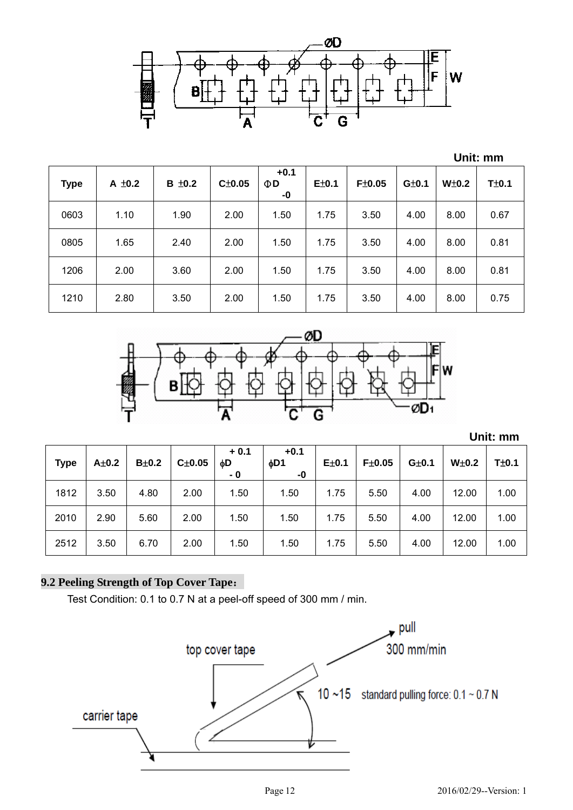

|             |             |        |        |                          |       |        |       |       | Unit: mm |
|-------------|-------------|--------|--------|--------------------------|-------|--------|-------|-------|----------|
| <b>Type</b> | $A \pm 0.2$ | B ±0.2 | C±0.05 | $+0.1$<br>$\Phi$ D<br>-0 | E±0.1 | F±0.05 | G±0.1 | W±0.2 | T±0.1    |
| 0603        | 1.10        | 1.90   | 2.00   | 1.50                     | 1.75  | 3.50   | 4.00  | 8.00  | 0.67     |
| 0805        | 1.65        | 2.40   | 2.00   | 1.50                     | 1.75  | 3.50   | 4.00  | 8.00  | 0.81     |
| 1206        | 2.00        | 3.60   | 2.00   | 1.50                     | 1.75  | 3.50   | 4.00  | 8.00  | 0.81     |
| 1210        | 2.80        | 3.50   | 2.00   | 1.50                     | 1.75  | 3.50   | 4.00  | 8.00  | 0.75     |



 **Unit: mm**

| <b>Type</b> | $A\pm0.2$ | $B\pm0.2$ | $C\pm0.05$ | $+0.1$<br>фD<br>- 0 | $+0.1$<br>6D1<br>-0 | $E\pm0.1$ | F±0.05 | $G\pm0.1$ | $W\pm0.2$ | T±0.1 |
|-------------|-----------|-----------|------------|---------------------|---------------------|-----------|--------|-----------|-----------|-------|
| 1812        | 3.50      | 4.80      | 2.00       | 1.50                | 1.50                | 1.75      | 5.50   | 4.00      | 12.00     | 1.00  |
| 2010        | 2.90      | 5.60      | 2.00       | 1.50                | 1.50                | 1.75      | 5.50   | 4.00      | 12.00     | 1.00  |
| 2512        | 3.50      | 6.70      | 2.00       | 1.50                | 1.50                | 1.75      | 5.50   | 4.00      | 12.00     | 1.00  |

## **9.2 Peeling Strength of Top Cover Tape**:

Test Condition: 0.1 to 0.7 N at a peel-off speed of 300 mm / min.

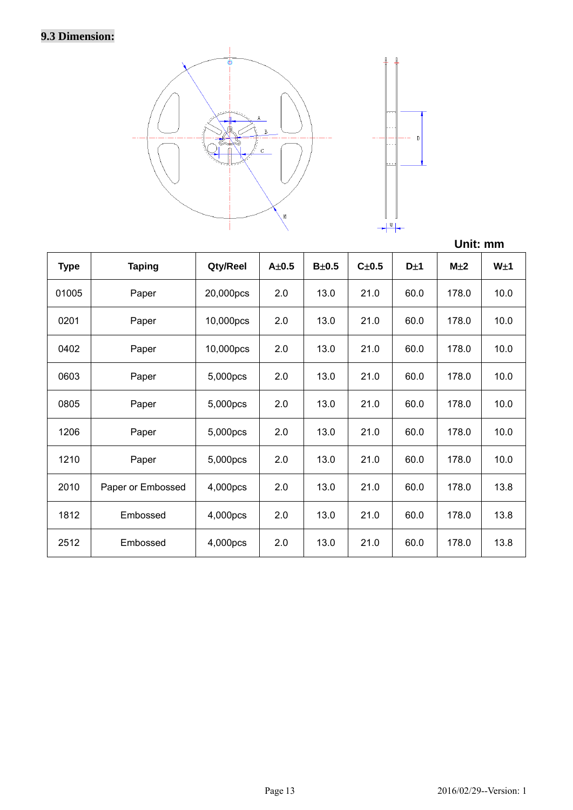# **9.3 Dimension:**



|             |                   |           |           |           |           |      | Unit: mm        |                 |
|-------------|-------------------|-----------|-----------|-----------|-----------|------|-----------------|-----------------|
| <b>Type</b> | <b>Taping</b>     | Qty/Reel  | $A\pm0.5$ | $B\pm0.5$ | $C\pm0.5$ | D±1  | M <sub>±2</sub> | W <sub>±1</sub> |
| 01005       | Paper             | 20,000pcs | 2.0       | 13.0      | 21.0      | 60.0 | 178.0           | 10.0            |
| 0201        | Paper             | 10,000pcs | 2.0       | 13.0      | 21.0      | 60.0 | 178.0           | 10.0            |
| 0402        | Paper             | 10,000pcs | 2.0       | 13.0      | 21.0      | 60.0 | 178.0           | 10.0            |
| 0603        | Paper             | 5,000pcs  | 2.0       | 13.0      | 21.0      | 60.0 | 178.0           | 10.0            |
| 0805        | Paper             | 5,000pcs  | 2.0       | 13.0      | 21.0      | 60.0 | 178.0           | 10.0            |
| 1206        | Paper             | 5,000pcs  | 2.0       | 13.0      | 21.0      | 60.0 | 178.0           | 10.0            |
| 1210        | Paper             | 5,000pcs  | 2.0       | 13.0      | 21.0      | 60.0 | 178.0           | 10.0            |
| 2010        | Paper or Embossed | 4,000pcs  | 2.0       | 13.0      | 21.0      | 60.0 | 178.0           | 13.8            |
| 1812        | Embossed          | 4,000pcs  | 2.0       | 13.0      | 21.0      | 60.0 | 178.0           | 13.8            |
| 2512        | Embossed          | 4,000pcs  | 2.0       | 13.0      | 21.0      | 60.0 | 178.0           | 13.8            |